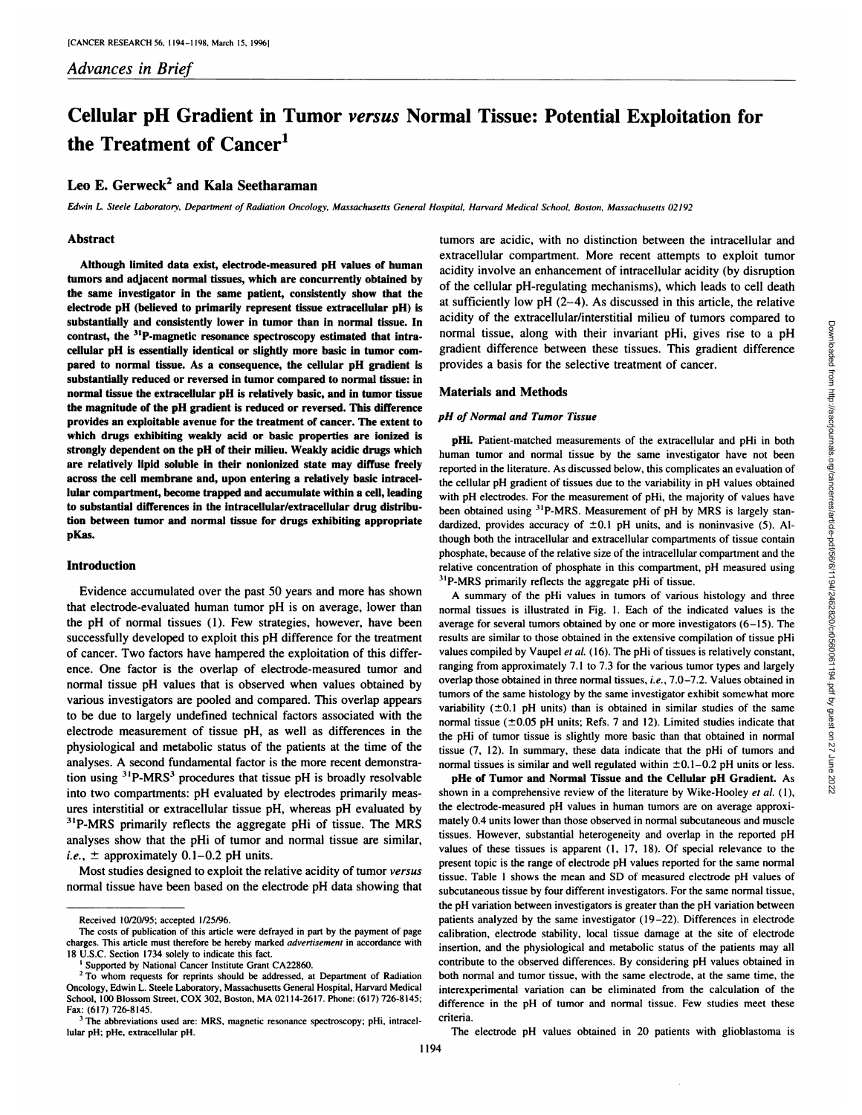# **Cellular pH Gradient in Tumor versus Normal Tissue: Potential Exploitation for the Treatment of Cancer1**

# **Leo E. Gerweck2 and Kala Seetharaman**

Edwin L. Steele Laboratory, Department of Radiation Oncology, Massachusetts General Hospital, Harvard Medical School, Boston, Massachusetts 02192

#### **Abstract**

**Although limited data exist, electrode-measured pH values of human tumors and adjacent normal tissues, which are concurrently obtained by the same investigator in the same patient, consistently show that the electrode pH (believed to primarily represent tissue extracellular pH) is substantially and consistently lower in tumor than in normal tissue. In contrast, the '"P-magnetic resonance spectroscopy estimated that intracellular pH is essentially identical or slightly more basic in tumor com pared to normal tissue. As a consequence, the cellular pH gradient is substantially reduced or reversed in tumor compared to normal tissue: in normal tissue the extracellular pH is relatively basic, and in tumor tissue the magnitude of the pH gradient is reduced or reversed. This difference provides an exploitable avenue for the treatment of cancer. The extent to which drugs exhibiting weakly acid or basic properties are ionized is strongly dependent on the pH of their milieu. Weakly acidic drugs which are relatively lipid soluble in their nonionized state may diffuse freely across the cell membrane and, upon entering a relatively basic intracellular compartment, become trapped and accumulate within a cell, leading to substantial differences in the intracellular/extracellular drug distribu tion between tumor and normal tissue for drugs exhibiting appropriate pKas.**

# **Introduction**

Evidence accumulated over the past 50 years and more has shown that electrode-evaluated human tumor pH is on average, lower than the pH of normal tissues (1). Few strategies, however, have been successfully developed to exploit this pH difference for the treatment of cancer. Two factors have hampered the exploitation of this differ ence. One factor is the overlap of electrode-measured tumor and normal tissue pH values that is observed when values obtained by various investigators are pooled and compared. This overlap appears to be due to largely undefined technical factors associated with the electrode measurement of tissue pH, as well as differences in the physiological and metabolic status of the patients at the time of the analyses. A second fundamental factor is the more recent demonstra tion using  $3^{1}P-MRS^{3}$  procedures that tissue pH is broadly resolvable into two compartments: pH evaluated by electrodes primarily meas ures interstitial or extracellular tissue pH. whereas pH evaluated by <sup>31</sup>P-MRS primarily reflects the aggregate pHi of tissue. The MRS analyses show that the pHi of tumor and normal tissue are similar. *i.e.*,  $\pm$  approximately 0.1-0.2 pH units.

Most studies designed to exploit the relative acidity of tumor versus normal tissue have been based on the electrode pH data showing that tumors are acidic, with no distinction between the intracellular and extracellular compartment. More recent attempts to exploit tumor acidity involve an enhancement of intracellular acidity (by disruption of the cellular pH-regulating mechanisms), which leads to cell death at sufficiently low pH  $(2-4)$ . As discussed in this article, the relative normal tissue, along with their invariant pHi. gives rise to a pH gradient difference between these tissues. This gradient difference provides a basis for the selective treatment of cancer.

#### **Materials and Methods**

### *pH of Normal and Tumor Tissue*

**pHi. Patient-matched measurements of the extracellular and pHiin both** human tumor and normal tissue by the same investigator have not been reported in the literature. As discussed below, this complicates an evaluation of the cellular pH gradient of tissues due to the variability in pH values obtained with pH electrodes. For the measurement of pHi. the majority of values have been obtained using <sup>31</sup>P-MRS. Measurement of pH by MRS is largely standardized, provides accuracy of  $\pm 0.1$  pH units, and is noninvasive (5). Although both the intracellular and extracellular compartments of tissue contain phosphate, because of the relative size of the intracellular compartment and the relative concentration of phosphate in this compartment. pH measured using <sup>31</sup>P-MRS primarily reflects the aggregate pHi of tissue.

acidity of the extracellular/interstitial milieu of tumors compared to<br>
normal tissue, along with their invariant pHi, gives rise to a pH<br>
gradient difference between these tissues. This gradient difference<br>
particles a A summary of the pHi values in tumors of various histology and three normal tissues is illustrated in Fig. 1. Each of the indicated values is the average for several tumors obtained by one or more investigators (6-15). The results are similar to those obtained in the extensive compilation of tissue pHi values compiled by Vaupel et al. (16). The pHi of tissues is relatively constant, ranging from approximately 7.1 to 7.3 for the various tumor types and largely overlap those obtained in three normal tissues, i.e., 7.0-7.2. Values obtained in tumors of the same histology by the same investigator exhibit somewhat more variability  $(\pm 0.1 \text{ pH units})$  than is obtained in similar studies of the same normal tissue ( $\pm 0.05$  pH units; Refs. 7 and 12). Limited studies indicate that the pHi of tumor tissue is slightly more basic than that obtained in normal tissue (7, 12). In summary, these data indicate that the pHi of tumors and normal tissues is similar and well regulated within  $\pm 0.1-0.2$  pH units or less.

**pHe of Tumor and Normal Tissue and the Cellular pH Gradient. As** shown in a comprehensive review of the literature by Wike-Hooley et al. (1), the electrode-measured pH values in human tumors are on average approxi mately 0.4 units lower than those observed in normal subcutaneous and muscle tissues. However, substantial heterogeneity and overlap in the reported pH values of these tissues is apparent (1. 17, 18). Of special relevance to the present topic is the range of electrode pH values reported for the same normal tissue. Table I shows the mean and SD of measured electrode pH values of subcutaneous tissue by four different investigators. For the same normal tissue, the pH variation between investigators is greater than the pH variation between patients analyzed by the same investigator (19-22). Differences in electrode calibration, electrode stability, local tissue damage at the site of electrode insertion, and the physiological and metabolic status of the patients may all contribute to the observed differences. By considering pH values obtained in both normal and tumor tissue, with the same electrode, at the same time, the interexperimental variation can be eliminated from the calculation of the difference in the pH of tumor and normal tissue. Few studies meet these criteria.

The electrode pH values obtained in 20 patients with glioblastoma is

Received 10/20/95; accepted 1/25/96.

The costs of publication of this article were defrayed in part by the payment of page charges. This article must therefore be hereby marked advertisement in accordance with 18 U.S.C. Section 1734 solely to indicate this fact.<br><sup>1</sup> Supported by National Cancer Institute Grant CA22860.

<sup>&</sup>lt;sup>2</sup> To whom requests for reprints should be addressed, at Department of Radiation Oncology, Edwin L. Steele Laboratory. Massachusetts General Hospital. Harvard Medical School. 100 Blossom Street. COX 302. Boston, MA 02114-2617. Phone: (617) 726-8145; Fax: (617) 726-8145.

<sup>&</sup>lt;sup>3</sup> The abbreviations used are: MRS, magnetic resonance spectroscopy; pHi, intracellular pH: pHe. extracellular pH.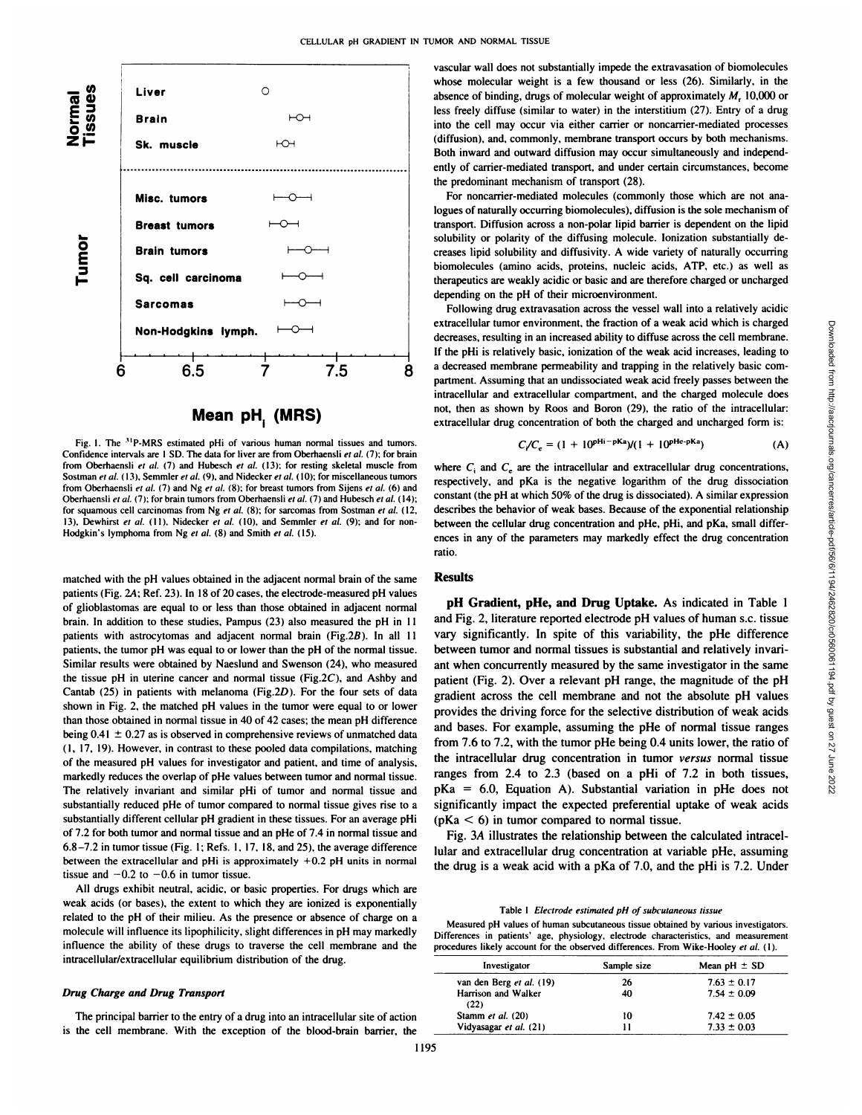

**Mean pH. (MRS)** i

Fig. 1. The <sup>31</sup>P-MRS estimated pHi of various human normal tissues and tumors. Confidence intervals are  $1$  SD. The data for liver are from Oberhaensli et al. (7); for brain from Oberhaensli et al.  $(7)$  and Hubesch et al.  $(13)$ ; for resting skeletal muscle from Sostman et al. (13). Semmler et al. (9). and Nidecker et al. (10): for miscellaneous tumors from Oberhaensli et al. (7) and Ng et al. (8); for breast tumors from Sijens et al. (6) and Oberhaensli et al. (7); for brain tumors from Oberhaensli et al. (7) and Hubesch et al. (14); for squamous cell carcinomas from Ng et al.  $(8)$ ; for sarcomas from Sostman et al.  $(12)$ , 13). Dewhirst et al. (11). Nidecker et al. (10). and Semmler et al. (9); and for non-<br>Hodgkin's lymphoma from Ng et al. (8) and Smith et al. (15).

matched with the pH values obtained in the adjacent normal brain of the same patients (Fig. 24; Ref. 23). In 18 of 20 cases, the electrode-measured pH values of glioblastomas are equal to orless than those obtained in adjacent normal brain. In addition to these studies, Pampus (23) also measured the pH in 11 patients with astrocytomas and adjacent normal brain (Fig.2B). In all II patients, the tumor pH was equal to or lower than the pH of the normal tissue. Similar results were obtained by Naeslund and Swenson (24). who measured the tissue pH in uterine cancer and normal tissue (Fig.  $2C$ ), and Ashby and Cantab (25) in patients with melanoma (Fig.2D). For the four sets of data shown in Fig. 2, the matched pH values in the tumor were equal to or lower than those obtained in normal tissue in 40 of 42 cases; the mean pH difference being  $0.41 \pm 0.27$  as is observed in comprehensive reviews of unmatched data (I. 17. 19). However, in contrast to these pooled data compilations, matching of the measured pH values for investigator and patient, and time of analysis, markedly reduces the overlap of pHe values between tumor and normal tissue. The relatively invariant and similar pHi of tumor and normal tissue and substantially reduced pHe of tumor compared to normal tissue gives rise to a substantially different cellular pH gradient in these tissues. For an average pHi of 7.2 for both tumor and normal tissue and an pHe of 7.4 in normal tissue and 6.8-7.2 in tumor tissue (Fig. I; Refs. 1. 17. 18. and 25). the average difference between the extracellular and pHi is approximately +0.2 pH units in normal tissue and  $-0.2$  to  $-0.6$  in tumor tissue.

All drugs exhibit neutral, acidic, or basic properties. For drugs which are weak acids (or bases), the extent to which they are ionized is exponentially related to the pH of their milieu. As the presence or absence of charge on a molecule will influence its lipophilicity, slight differences in pH may markedly<br>Differences in patients' age, physiology, electrode characteristics, and measurement influence the ability of these drugs to traverse the cell membrane and the intracellular/extracellular equilibrium distribution of the drug.

#### *Drug Charge and Drug Transport*

The principal barrier to the entry of a drug into an intracellular site of action is the cell membrane. With the exception of the blood-brain barrier, the

vascular wall does not substantially impede the extravasation of biomolecules whose molecular weight is a few thousand or less (26). Similarly, in the absence of binding, drugs of molecular weight of approximately M, 10.000 or less freely diffuse (similar to water) in the interstitium (27). Entry of a drug into the cell may occur via either carrier or noncarrier-mediated processes (diffusion), and. commonly, membrane transport occurs by both mechanisms. Both inward and outward diffusion may occur simultaneously and independ ently of carrier-mediated transport, and under certain circumstances, become the predominant mechanism of transport (28).

For noncarrier-mediated molecules (commonly those which are not ana logues of naturally occurring biomolecules). diffusion is the sole mechanism of transport. Diffusion across a non-polar lipid barrier is dependent on the lipid solubility or polarity of the diffusing molecule. lonization substantially de creases lipid solubility and diffusivity. A wide variety of naturally occurring biomolecules (amino acids, proteins, nucleic acids. ATP. etc.) as well as therapeutics are weakly acidic or basic and are therefore charged or uncharged depending on the pH of their microenvironment.

8 a decreased includible permeability and ulapping in the relatively basic com-<br>partment. Assuming that an undissociated weak acid freely passes between the Following drug extravasation across the vessel wall into a relatively acidic extracellular tumor environment, the fraction of a weak acid which is charged decreases, resulting in an increased ability to diffuse across the cell membrane. a decreased membrane permeability and trapping in the relatively basic com intracellular and extracellular compartment, and the charged molecule does not, then as shown by Roos and Boron (29). the ratio of the intracellular: extracellular drug concentration of both the charged and uncharged form is:

$$
C/C_e = (1 + 10^{pHi - pKa})/(1 + 10^{pHe - pKa})
$$
 (A)

where  $C_i$  and  $C_e$  are the intracellular and extracellular drug concentrations, respectively, and pKa is the negative logarithm of the drug dissociation constant (the pH at which 50% of the drug is dissociated). A similar expression describes the behavior of weak bases. Because of the exponential relationship between the cellular drug concentration and pHe. pHi. and pKa. small differ ences in any of the parameters may markedly effect the drug concentration ratio.

# **Results**

Extractellular turnor environment, the fraction of a weak acid which is charged<br>edecreases, resulting in an increased ability to diffuse across the cell membrane.<br>
If the pHi is relatively basic, ionization of the weak a **pH Gradient, pHe, and Drug Uptake. As indicated in Table 1** and Fig.2. literature reported electrode pH values of human s.c. tissue vary significantly. In spite of this variability, the pHe difference between tumor and normal tissues is substantial and relatively invari ant when concurrently measured by the same investigator in the same patient (Fig. 2). Over a relevant pH range, the magnitude of the pH gradient across the cell membrane and not the absolute pH values provides the driving force for the selective distribution of weak acids and bases. For example, assuming the pHe of normal tissue ranges from 7.6 to 7.2, with the tumor pHe being 0.4 units lower, the ratio of the intracellular drug concentration in tumor versus normal tissue ranges from 2.4 to 2.3 (based on a pHi of 7.2 in both tissues,  $pKa = 6.0$ , Equation A). Substantial variation in pHe does not significantly impact the expected preferential uptake of weak acids  $(pKa < 6)$  in tumor compared to normal tissue.

Fig. 3A illustrates the relationship between the calculated intracel lular and extracellular drug concentration at variable pHe, assuming the drug is a weak acid with a pKa of 7.0, and the pHi is 7.2. Under

Table 1 Electrode estimated pH of subcutaneous tissue Measured pH values of human subcutaneous tissue obtained by various investigators. procedures likely account for the observed differences. From Wike-Hooley et al. (1).

| Investigator                | Sample size | Mean $pH \pm SD$ |
|-----------------------------|-------------|------------------|
| van den Berg et al. (19)    | 26          | $7.63 \pm 0.17$  |
| Harrison and Walker<br>(22) | 40          | $7.54 \pm 0.09$  |
| Stamm et al. (20)           | 10          | $7.42 \pm 0.05$  |
| Vidyasagar et al. (21)      | וו          | $7.33 \pm 0.03$  |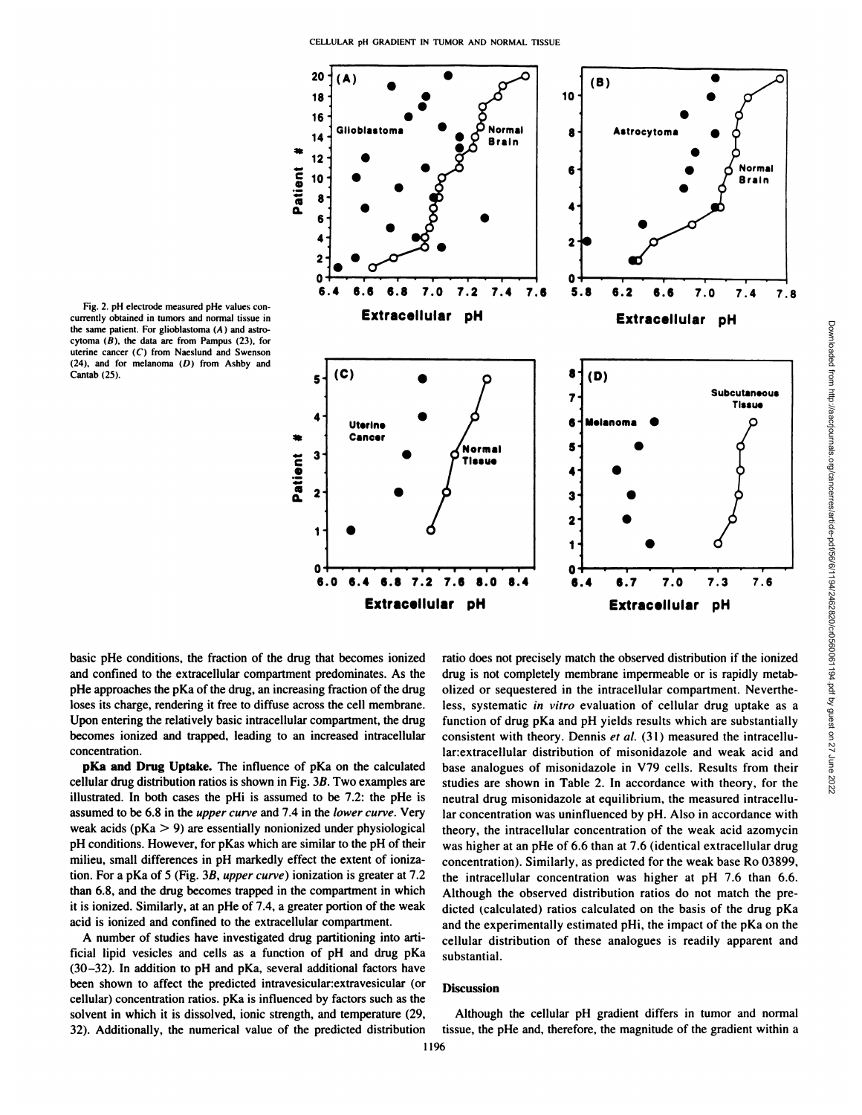

Fig. 2. pH electrode measured pHe values con currently obtained in tumors and normal tissue in the same patient. For glioblastoma  $(A)$  and astrocytoma  $(B)$ , the data are from Pampus (23), for uterine cancer (C) from Naeslund and Swenson  $(24)$ , and for melanoma  $(D)$  from Ashby and Cantab (25).

basic pHe conditions, the fraction of the drug that becomes ionized and confined to the extracellular compartment predominates. As the pHe approaches the pKa of the drug, an increasing fraction of the drug loses its charge, rendering it free to diffuse across the cell membrane. Upon entering the relatively basic intracellular compartment, the drug becomes ionized and trapped, leading to an increased intracellular concentration.

**pKa and Drug Uptake. The influence of pKa on the calculated** cellular drug distribution ratios is shown in Fig.3ß.Two examples are illustrated. In both cases the pHi is assumed to be 7.2: the pHe is assumed to be 6.8 in the *upper curve* and 7.4 in the lower curve. Very weak acids  $(pKa > 9)$  are essentially nonionized under physiological pH conditions. However, for pKas which are similar to the pH of their milieu, small differences in pH markedly effect the extent of ionization. For a pKa of 5 (Fig. 3B, upper curve) ionization is greater at 7.2 than 6.8, and the drug becomes trapped in the compartment in which it is ionized. Similarly, at an pHe of 7.4, a greater portion of the weak acid is ionized and confined to the extracellular compartment.

A number of studies have investigated drug partitioning into arti ficial lipid vesicles and cells as a function of pH and drug pKa (30-32). In addition to pH and pKa. several additional factors have been shown to affect the predicted intravesicular: extravesicular (or cellular) concentration ratios. pKa is influenced by factors such as the solvent in which it is dissolved, ionic strength, and temperature (29, 32). Additionally, the numerical value of the predicted distribution

drug is not completely membrane impermeable or is rapidly metab olized or sequestered in the intracellular compartment. Neverthe less, systematic in vitro evaluation of cellular drug uptake as a function of drug pKa and pH yields results which are substantially consistent with theory. Dennis et al. (31) measured the intracellular: extracellular distribution of misonidazole and weak acid and base analogues of misonidazole in V79 cells. Results from their studies are shown in Table 2. In accordance with theory, for the  $\frac{15}{60}$ studies are shown in Table 2. In accordance with theory, for the neutral drug misonidazole at equilibrium, the measured intracellu lar concentration was uninfluenced by pH. Also in accordance with theory, the intracellular concentration of the weak acid azomycin was higher at an pHe of 6.6 than at 7.6 (identical extracellular drug concentration). Similarly, as predicted for the weak base Ro 03899. the intracellular concentration was higher at pH 7.6 than 6.6. Although the observed distribution ratios do not match the pre dicted (calculated) ratios calculated on the basis of the drug pKa and the experimentally estimated pHi. the impact of the pKa on the cellular distribution of these analogues is readily apparent and substantial.

#### **Discussion**

Although the cellular pH gradient differs in tumor and normal tissue, the pHe and, therefore, the magnitude of the gradient within a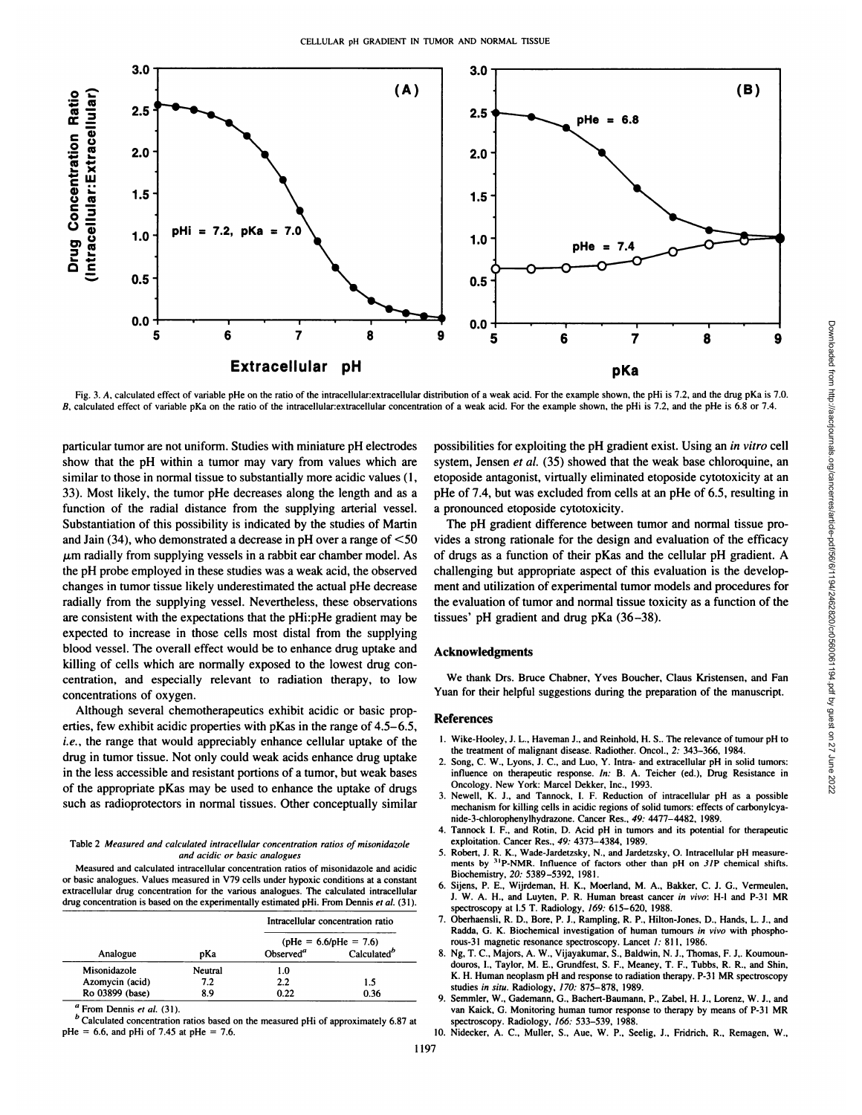

Fig. 3. A, calculated effect of variable pHe on the ratio of the intracellular: extracellular distribution of a weak acid. For the example shown, the pHi is 7.2, and the drug pKa is 7.0. B, calculated effect of variable pKa on the ratio of the intracellular extracellular concentration of a weak acid. For the example shown, the pHi is 7.2, and the pHe is 6.8 or 7.4.

particular tumor arc not uniform. Studies with miniature pH electrodes show that the pH within a tumor may vary from values which are similar to those in normal tissue to substantially more acidic values (1, 33). Most likely, the tumor pHe decreases along the length and as a function of the radial distance from the supplying arterial vessel. Substantiation of this possibility is indicated by the studies of Martin and Jain  $(34)$ , who demonstrated a decrease in pH over a range of  $\leq 50$  $\mu$ m radially from supplying vessels in a rabbit ear chamber model. As the pH probe employed in these studies was a weak acid, the observed changes in tumor tissue likely underestimated the actual pHe decrease radially from the supplying vessel. Nevertheless, these observations are consistent with the expectations that the pHi:pHe gradient may be expected to increase in those cells most distal from the supplying blood vessel. The overall effect would be to enhance drug uptake and killing of cells which are normally exposed to the lowest drug con centration, and especially relevant to radiation therapy, to low concentrations of oxygen.

Although several chemotherapeutics exhibit acidic or basic prop erties, few exhibit acidic properties with pKas in the range of 4.5-6.5, *i.e., the range that would appreciably enhance cellular uptake of the* drug in tumor tissue. Not only could weak acids enhance drug uptake in the less accessible and resistant portions of a tumor, but weak bases of the appropriate pKas may be used to enhance the uptake of drugs such as radioprotectors in normal tissues. Other conceptually similar

#### Table 2 Measured and calculated intracellular concentration ratios of misonidazole *und acidic or basic analogues*

Measured and calculated intracellular concentration ratios of misonidazole and acidic or basic analogues. Values measured in V79 cells under hypoxic conditions at a constant extracellular drug concentration for the various analogues. The calculated intracellular drug concentration is based on the experimentally estimated pHi. From Dennis et al. (31).

| Analogue        | pKa | Intracellular concentration ratio<br>$\phi$ He = 6.6/pHe = 7.6) |         |
|-----------------|-----|-----------------------------------------------------------------|---------|
|                 |     |                                                                 |         |
|                 |     | Misonidazole                                                    | Neutral |
| Azomycin (acid) | 7.2 | 2.2                                                             | 1.5     |
| Ro 03899 (base) | 8.9 | 0.22                                                            | 0.36    |

From Dennis et al. (31).

<sup>*b*</sup> Calculated concentration ratios based on the measured pHi of approximately 6.87 at pHe = 6.6. and pHi of 7.45 at pHe = 7.6.

possibilities for exploiting the pH gradient exist. Using an in vitro cell etoposide antagonist, virtually eliminated etoposide cytotoxicity at an pHe of 7.4, but was excluded from cells at an pHe of 6.5, resulting in a pronounced etoposide cytotoxicity.

**9** 0.0  $\frac{1}{5}$  6 7 8 9 9  $\frac{1}{5}$  **PKa**<br>
intuition of a weak acid. For the example shown, the pHi is 7.2, and the drug pKa is 7.0.<br>
on of a weak acid. For the example shown, the pHi is 7.2, and the pHe is 6.8 or 7.4.<br> The pH gradient difference between tumor and normal tissue pro vides a strong rationale for the design and evaluation of the efficacy of drugs as a function of their pKas and the cellular pH gradient. A challenging but appropriate aspect of this evaluation is the develop ment and utilization of experimental tumor models and procedures for the evaluation of tumor and normal tissue toxicity as a function of the tissues' pH gradient and drug pKa (36-38).

#### **Acknowledgments**

We thank Drs. Bruce Chabner, Yves Boucher, Claus Kristensen, and Fan Yuan for their helpful suggestions during the preparation of the manuscript.

# **References**

- 1. Wike-Hooley. J. L.. Haveman J.. and Reinhold. H. S.. The relevance of tumour pH to the treatment of malignant disease. Radiother. Oncol., 2: 343-366, 1984.
- 2. Song. C. W., Lyons. J. C.. and Luo, Y. Intra- and extracellular pH in solid tumors: influence on therapeutic response. In: B. A. Teicher (ed.), Drug Resistance in Oncology. New York: Marcel Dekker, Inc., 1993.
- 3. Newell, K. J.. and Tannock. I. F. Reduction of intracellular pH as a possible mechanism for killing cells in acidic regions of solid tumors: effects of carbonylcyanide-3-chlorophenylhydrazone. Cancer Res., 49: 4477-4482. 1989.
- 4. Tannock I. F.. and Rotin. D. Acid pH in tumors and its potential for therapeutic exploitation. Cancer Res.. 49: 4373-4384, 1989.
- 5. Robert, J. R. K.., Wade-Jardetzsky, N., and Jardetzsky, O. Intracellular pH measurements by <sup>31</sup>P-NMR. Influence of factors other than pH on.  $3/P$  chemical shifts. Biochemistry. 20: 5389-5392, 1981.
- 6. Sijens, P. E.. Wijrdeman, H. K., Moerland, M. A.. Bakker. C. J. G., Vermeulen. J. W. A. H., and Luvten, P. R. Human breast cancer in vivo: H-l and P-31 MR spectroscopy at 1.5 T. Radiology. 169: 615-620. 1988.
- 7. Oberhaensli. R. D.. Bore, P. J.. Rampling, R. P., Hilton-Jones. D., Hands, L. J., and Radda. G. K. Biochemical investigation of human tumours in vivo with phosphorous-31 magnetic resonance spectroscopy. Lancet 1: 811. 1986.
- Calculated<sup>b</sup> 8. Ng, T. C., Majors, A. W., Vijayakumar, S., Baldwin, N. J., Thomas, F. J., Koumoundouros. !.. Taylor, M. E.. Grundfest. S. F.. Meaney. T. F.. Tubbs. R. R., and Shin. K. H. Human neoplasm pH and response to radiation therapy. P-31 MR spectroscopy studies in situ. Radiology, 170: 875-878. 1989.
	- 9. Semmler. W.. Gademann. G., Bachert-Baumann, P., Zabel, H. J., Lorenz, W. J., and van Kaick, G. Monitoring human tumor response to therapy by means of P-31 MR spectroscopy. Radiology. 166: 533-539, 1988.
	- 10. Nidecker, A. C.. Muller. S.. Aue. W. P., Seelig, J.. Fridrich. R.. Remagen, W.,